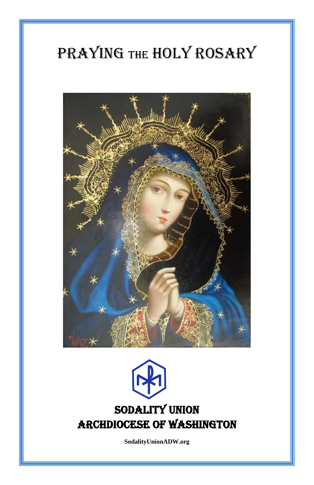# PRAYING THE HOLY ROSARY





**SodalityUnionADW.org**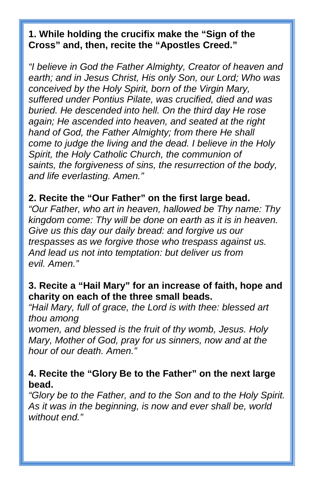## **1. While holding the crucifix make the "Sign of the Cross" and, then, recite the "Apostles Creed."**

*"I believe in God the Father Almighty, Creator of heaven and earth; and in Jesus Christ, His only Son, our Lord; Who was conceived by the Holy Spirit, born of the Virgin Mary, suffered under Pontius Pilate, was crucified, died and was buried. He descended into hell. On the third day He rose again; He ascended into heaven, and seated at the right hand of God, the Father Almighty; from there He shall come to judge the living and the dead. I believe in the Holy Spirit, the Holy Catholic Church, the communion of saints, the forgiveness of sins, the resurrection of the body, and life everlasting. Amen."*

#### **2. Recite the "Our Father" on the first large bead.**

*"Our Father, who art in heaven, hallowed be Thy name: Thy kingdom come: Thy will be done on earth as it is in heaven. Give us this day our daily bread: and forgive us our trespasses as we forgive those who trespass against us. And lead us not into temptation: but deliver us from evil. Amen."*

### **3. Recite a "Hail Mary" for an increase of faith, hope and charity on each of the three small beads.**

*"Hail Mary, full of grace, the Lord is with thee: blessed art thou among*

*women, and blessed is the fruit of thy womb, Jesus. Holy Mary, Mother of God, pray for us sinners, now and at the hour of our death. Amen."*

### **4. Recite the "Glory Be to the Father" on the next large bead.**

*"Glory be to the Father, and to the Son and to the Holy Spirit. As it was in the beginning, is now and ever shall be, world without end."*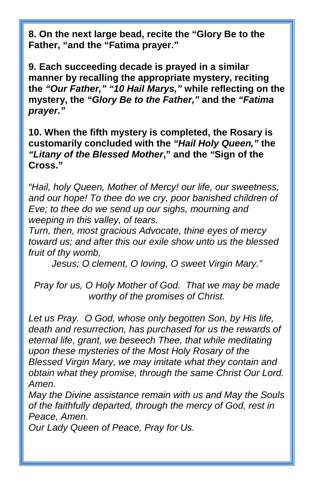**8. On the next large bead, recite the "Glory Be to the Father, "and the "Fatima prayer."**

**9. Each succeeding decade is prayed in a similar manner by recalling the appropriate mystery, reciting the** *"Our Father," "10 Hail Marys,"* **while reflecting on the mystery, the** *"Glory Be to the Father,"* **and the** *"Fatima prayer."*

**10. When the fifth mystery is completed, the Rosary is customarily concluded with the** *"Hail Holy Queen,"* **the** *"Litany of the Blessed Mother***," and the** *"***Sign of the Cross."**

*"Hail, holy Queen, Mother of Mercy! our life, our sweetness, and our hope! To thee do we cry, poor banished children of Eve; to thee do we send up our sighs, mourning and weeping in this valley, of tears.*

*Turn, then, most gracious Advocate, thine eyes of mercy toward us; and after this our exile show unto us the blessed fruit of thy womb,*

*Jesus; O clement, O loving, O sweet Virgin Mary."*

*Pray for us, O Holy Mother of God. That we may be made worthy of the promises of Christ.* 

*Let us Pray. O God, whose only begotten Son, by His life, death and resurrection, has purchased for us the rewards of eternal life, grant, we beseech Thee, that while meditating upon these mysteries of the Most Holy Rosary of the Blessed Virgin Mary, we may imitate what they contain and obtain what they promise, through the same Christ Our Lord. Amen.*

*May the Divine assistance remain with us and May the Souls of the faithfully departed, through the mercy of God, rest in Peace, Amen.* 

*Our Lady Queen of Peace, Pray for Us.*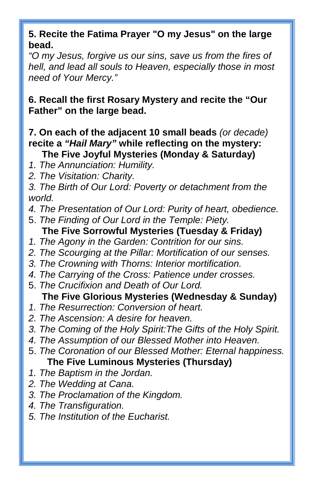## **5. Recite the Fatima Prayer "O my Jesus" on the large bead.**

*"O my Jesus, forgive us our sins, save us from the fires of hell, and lead all souls to Heaven, especially those in most need of Your Mercy."*

**6. Recall the first Rosary Mystery and recite the "Our Father" on the large bead.**

#### **7. On each of the adjacent 10 small beads** *(or decade)*  **recite a** *"Hail Mary"* **while reflecting on the mystery: The Five Joyful Mysteries (Monday & Saturday)**

- *1. The Annunciation: Humility.*
- *2. The Visitation: Charity.*
- *3. The Birth of Our Lord: Poverty or detachment from the world.*
- *4. The Presentation of Our Lord: Purity of heart, obedience.*
- 5. *The Finding of Our Lord in the Temple: Piety.*
- **The Five Sorrowful Mysteries (Tuesday & Friday)**
- *1. The Agony in the Garden: Contrition for our sins.*
- *2. The Scourging at the Pillar: Mortification of our senses.*
- *3. The Crowning with Thorns: Interior mortification.*
- *4. The Carrying of the Cross: Patience under crosses.*
- 5. *The Crucifixion and Death of Our Lord.* **The Five Glorious Mysteries (Wednesday & Sunday)**
- *1. The Resurrection: Conversion of heart.*
- *2. The Ascension: A desire for heaven.*
- *3. The Coming of the Holy Spirit:The Gifts of the Holy Spirit.*
- *4. The Assumption of our Blessed Mother into Heaven.*
- 5. *The Coronation of our Blessed Mother: Eternal happiness.* **The Five Luminous Mysteries (Thursday)**
- *1. The Baptism in the Jordan.*
- *2. The Wedding at Cana.*
- *3. The Proclamation of the Kingdom.*
- *4. The Transfiguration.*
- *5. The Institution of the Eucharist.*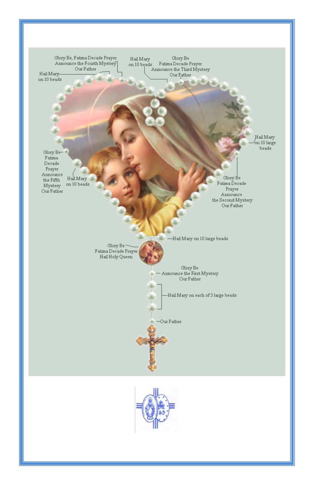